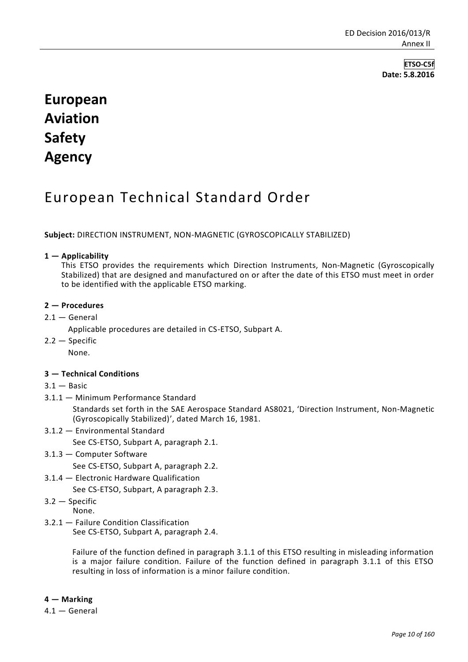**ETSO-C5f Date: 5.8.2016**

# **European Aviation Safety Agency**

## European Technical Standard Order

**Subject:** DIRECTION INSTRUMENT, NON-MAGNETIC (GYROSCOPICALLY STABILIZED)

#### **1 — Applicability**

This ETSO provides the requirements which Direction Instruments, Non-Magnetic (Gyroscopically Stabilized) that are designed and manufactured on or after the date of this ETSO must meet in order to be identified with the applicable ETSO marking.

#### **2 — Procedures**

- $2.1 -$  General
	- Applicable procedures are detailed in CS-ETSO, Subpart A.
- $2.2 -$ Specific

None.

### **3 — Technical Conditions**

- $3.1 -$  Basic
- 3.1.1 Minimum Performance Standard

Standards set forth in the SAE Aerospace Standard AS8021, 'Direction Instrument, Non-Magnetic (Gyroscopically Stabilized)', dated March 16, 1981.

3.1.2 — Environmental Standard

See CS-ETSO, Subpart A, paragraph 2.1.

3.1.3 — Computer Software

See CS-ETSO, Subpart A, paragraph 2.2.

3.1.4 — Electronic Hardware Qualification

See CS-ETSO, Subpart, A paragraph 2.3.

3.2 — Specific

- None.
- 3.2.1 Failure Condition Classification See CS-ETSO, Subpart A, paragraph 2.4.

Failure of the function defined in paragraph 3.1.1 of this ETSO resulting in misleading information is a major failure condition. Failure of the function defined in paragraph 3.1.1 of this ETSO resulting in loss of information is a minor failure condition.

#### **4 — Marking**

4.1 — General